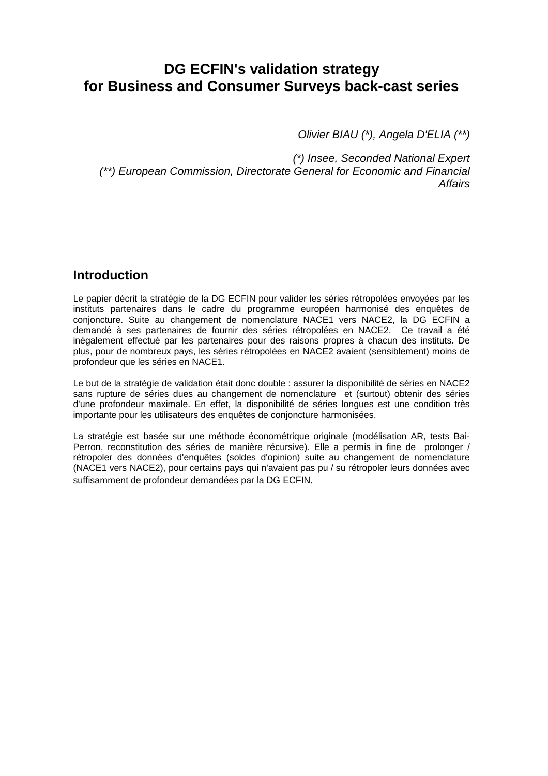# **DG ECFIN's validation strategy for Business and Consumer Surveys back-cast series**

Olivier BIAU (\*), Angela D'ELIA (\*\*)

(\*) Insee, Seconded National Expert (\*\*) European Commission, Directorate General for Economic and Financial Affairs

### **Introduction**

Le papier décrit la stratégie de la DG ECFIN pour valider les séries rétropolées envoyées par les instituts partenaires dans le cadre du programme européen harmonisé des enquêtes de conjoncture. Suite au changement de nomenclature NACE1 vers NACE2, la DG ECFIN a demandé à ses partenaires de fournir des séries rétropolées en NACE2. Ce travail a été inégalement effectué par les partenaires pour des raisons propres à chacun des instituts. De plus, pour de nombreux pays, les séries rétropolées en NACE2 avaient (sensiblement) moins de profondeur que les séries en NACE1.

Le but de la stratégie de validation était donc double : assurer la disponibilité de séries en NACE2 sans rupture de séries dues au changement de nomenclature et (surtout) obtenir des séries d'une profondeur maximale. En effet, la disponibilité de séries longues est une condition très importante pour les utilisateurs des enquêtes de conjoncture harmonisées.

La stratégie est basée sur une méthode économétrique originale (modélisation AR, tests Bai-Perron, reconstitution des séries de manière récursive). Elle a permis in fine de prolonger / rétropoler des données d'enquêtes (soldes d'opinion) suite au changement de nomenclature (NACE1 vers NACE2), pour certains pays qui n'avaient pas pu / su rétropoler leurs données avec suffisamment de profondeur demandées par la DG ECFIN.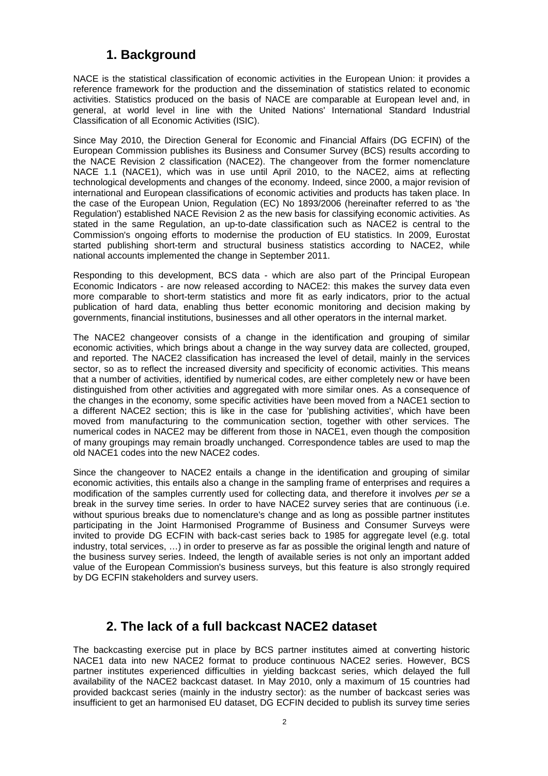### **1. Background**

NACE is the statistical classification of economic activities in the European Union: it provides a reference framework for the production and the dissemination of statistics related to economic activities. Statistics produced on the basis of NACE are comparable at European level and, in general, at world level in line with the United Nations' International Standard Industrial Classification of all Economic Activities (ISIC).

Since May 2010, the Direction General for Economic and Financial Affairs (DG ECFIN) of the European Commission publishes its Business and Consumer Survey (BCS) results according to the NACE Revision 2 classification (NACE2). The changeover from the former nomenclature NACE 1.1 (NACE1), which was in use until April 2010, to the NACE2, aims at reflecting technological developments and changes of the economy. Indeed, since 2000, a major revision of international and European classifications of economic activities and products has taken place. In the case of the European Union, Regulation (EC) No 1893/2006 (hereinafter referred to as 'the Regulation') established NACE Revision 2 as the new basis for classifying economic activities. As stated in the same Regulation, an up-to-date classification such as NACE2 is central to the Commission's ongoing efforts to modernise the production of EU statistics. In 2009, Eurostat started publishing short-term and structural business statistics according to NACE2, while national accounts implemented the change in September 2011.

Responding to this development, BCS data - which are also part of the Principal European Economic Indicators - are now released according to NACE2: this makes the survey data even more comparable to short-term statistics and more fit as early indicators, prior to the actual publication of hard data, enabling thus better economic monitoring and decision making by governments, financial institutions, businesses and all other operators in the internal market.

The NACE2 changeover consists of a change in the identification and grouping of similar economic activities, which brings about a change in the way survey data are collected, grouped, and reported. The NACE2 classification has increased the level of detail, mainly in the services sector, so as to reflect the increased diversity and specificity of economic activities. This means that a number of activities, identified by numerical codes, are either completely new or have been distinguished from other activities and aggregated with more similar ones. As a consequence of the changes in the economy, some specific activities have been moved from a NACE1 section to a different NACE2 section; this is like in the case for 'publishing activities', which have been moved from manufacturing to the communication section, together with other services. The numerical codes in NACE2 may be different from those in NACE1, even though the composition of many groupings may remain broadly unchanged. Correspondence tables are used to map the old NACE1 codes into the new NACE2 codes.

Since the changeover to NACE2 entails a change in the identification and grouping of similar economic activities, this entails also a change in the sampling frame of enterprises and requires a modification of the samples currently used for collecting data, and therefore it involves per se a break in the survey time series. In order to have NACE2 survey series that are continuous (i.e. without spurious breaks due to nomenclature's change and as long as possible partner institutes participating in the Joint Harmonised Programme of Business and Consumer Surveys were invited to provide DG ECFIN with back-cast series back to 1985 for aggregate level (e.g. total industry, total services, …) in order to preserve as far as possible the original length and nature of the business survey series. Indeed, the length of available series is not only an important added value of the European Commission's business surveys, but this feature is also strongly required by DG ECFIN stakeholders and survey users.

### **2. The lack of a full backcast NACE2 dataset**

The backcasting exercise put in place by BCS partner institutes aimed at converting historic NACE1 data into new NACE2 format to produce continuous NACE2 series. However, BCS partner institutes experienced difficulties in yielding backcast series, which delayed the full availability of the NACE2 backcast dataset. In May 2010, only a maximum of 15 countries had provided backcast series (mainly in the industry sector): as the number of backcast series was insufficient to get an harmonised EU dataset, DG ECFIN decided to publish its survey time series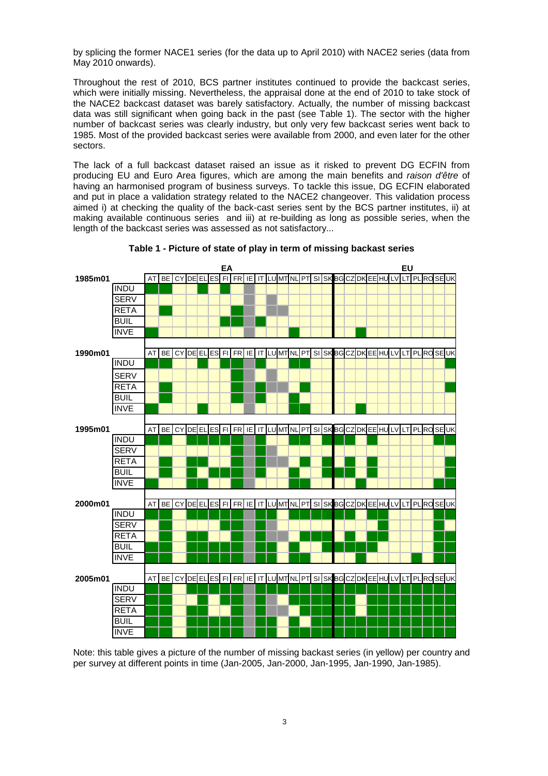by splicing the former NACE1 series (for the data up to April 2010) with NACE2 series (data from May 2010 onwards).

Throughout the rest of 2010, BCS partner institutes continued to provide the backcast series, which were initially missing. Nevertheless, the appraisal done at the end of 2010 to take stock of the NACE2 backcast dataset was barely satisfactory. Actually, the number of missing backcast data was still significant when going back in the past (see Table 1). The sector with the higher number of backcast series was clearly industry, but only very few backcast series went back to 1985. Most of the provided backcast series were available from 2000, and even later for the other sectors.

The lack of a full backcast dataset raised an issue as it risked to prevent DG ECFIN from producing EU and Euro Area figures, which are among the main benefits and raison d'être of having an harmonised program of business surveys. To tackle this issue, DG ECFIN elaborated and put in place a validation strategy related to the NACE2 changeover. This validation process aimed i) at checking the quality of the back-cast series sent by the BCS partner institutes, ii) at making available continuous series and iii) at re-building as long as possible series, when the length of the backcast series was assessed as not satisfactory...



**Table 1 - Picture of state of play in term of missing backast series** 

Note: this table gives a picture of the number of missing backast series (in yellow) per country and per survey at different points in time (Jan-2005, Jan-2000, Jan-1995, Jan-1990, Jan-1985).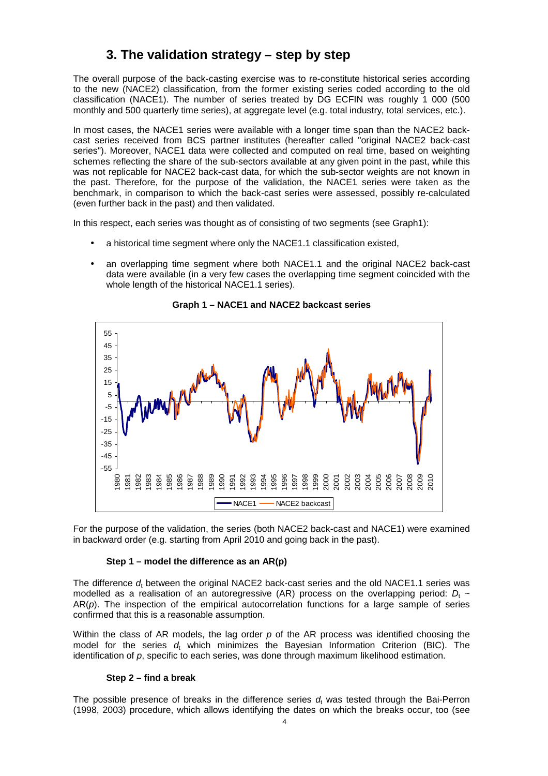## **3. The validation strategy – step by step**

The overall purpose of the back-casting exercise was to re-constitute historical series according to the new (NACE2) classification, from the former existing series coded according to the old classification (NACE1). The number of series treated by DG ECFIN was roughly 1 000 (500 monthly and 500 quarterly time series), at aggregate level (e.g. total industry, total services, etc.).

In most cases, the NACE1 series were available with a longer time span than the NACE2 backcast series received from BCS partner institutes (hereafter called "original NACE2 back-cast series"). Moreover, NACE1 data were collected and computed on real time, based on weighting schemes reflecting the share of the sub-sectors available at any given point in the past, while this was not replicable for NACE2 back-cast data, for which the sub-sector weights are not known in the past. Therefore, for the purpose of the validation, the NACE1 series were taken as the benchmark, in comparison to which the back-cast series were assessed, possibly re-calculated (even further back in the past) and then validated.

In this respect, each series was thought as of consisting of two segments (see Graph1):

- a historical time segment where only the NACE1.1 classification existed,
- an overlapping time segment where both NACE1.1 and the original NACE2 back-cast data were available (in a very few cases the overlapping time segment coincided with the whole length of the historical NACE1.1 series).



**Graph 1 – NACE1 and NACE2 backcast series** 

For the purpose of the validation, the series (both NACE2 back-cast and NACE1) were examined in backward order (e.g. starting from April 2010 and going back in the past).

#### **Step 1 – model the difference as an AR(p)**

The difference  $d_t$  between the original NACE2 back-cast series and the old NACE1.1 series was modelled as a realisation of an autoregressive (AR) process on the overlapping period:  $D_t \sim$  $AR(p)$ . The inspection of the empirical autocorrelation functions for a large sample of series confirmed that this is a reasonable assumption.

Within the class of AR models, the lag order  $p$  of the AR process was identified choosing the model for the series  $d_t$  which minimizes the Bayesian Information Criterion (BIC). The identification of p, specific to each series, was done through maximum likelihood estimation.

#### **Step 2 – find a break**

The possible presence of breaks in the difference series  $d_t$  was tested through the Bai-Perron (1998, 2003) procedure, which allows identifying the dates on which the breaks occur, too (see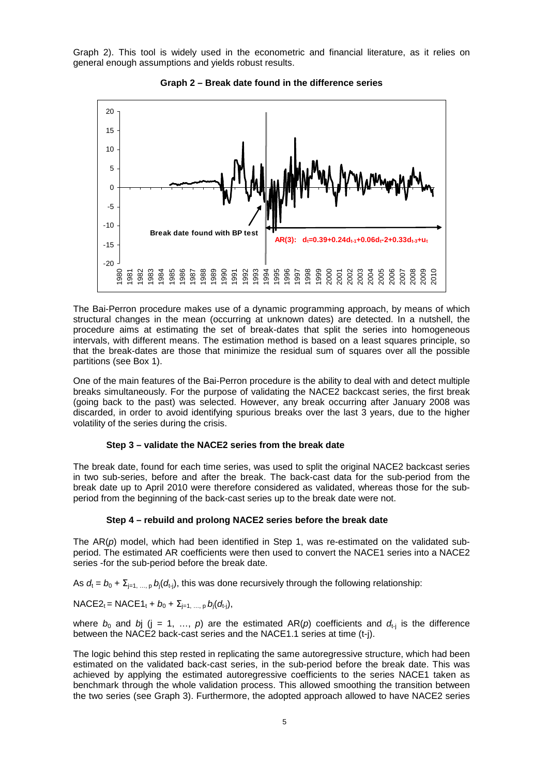Graph 2). This tool is widely used in the econometric and financial literature, as it relies on general enough assumptions and yields robust results.





The Bai-Perron procedure makes use of a dynamic programming approach, by means of which structural changes in the mean (occurring at unknown dates) are detected. In a nutshell, the procedure aims at estimating the set of break-dates that split the series into homogeneous intervals, with different means. The estimation method is based on a least squares principle, so that the break-dates are those that minimize the residual sum of squares over all the possible partitions (see Box 1).

One of the main features of the Bai-Perron procedure is the ability to deal with and detect multiple breaks simultaneously. For the purpose of validating the NACE2 backcast series, the first break (going back to the past) was selected. However, any break occurring after January 2008 was discarded, in order to avoid identifying spurious breaks over the last 3 years, due to the higher volatility of the series during the crisis.

#### **Step 3 – validate the NACE2 series from the break date**

The break date, found for each time series, was used to split the original NACE2 backcast series in two sub-series, before and after the break. The back-cast data for the sub-period from the break date up to April 2010 were therefore considered as validated, whereas those for the subperiod from the beginning of the back-cast series up to the break date were not.

#### **Step 4 – rebuild and prolong NACE2 series before the break date**

The  $AR(p)$  model, which had been identified in Step 1, was re-estimated on the validated subperiod. The estimated AR coefficients were then used to convert the NACE1 series into a NACE2 series -for the sub-period before the break date.

As  $d_t = b_0 + \sum_{j=1,\dots,p} b_j(d_{t_j})$ , this was done recursively through the following relationship:

 $NACE2_t = NACE1_t + b_0 + \sum_{j=1, ..., p} b_j(d_{t-j}),$ 

where  $b_0$  and bj (j = 1, ..., p) are the estimated AR(p) coefficients and  $d_{t-1}$  is the difference between the NACE2 back-cast series and the NACE1.1 series at time (t-j).

The logic behind this step rested in replicating the same autoregressive structure, which had been estimated on the validated back-cast series, in the sub-period before the break date. This was achieved by applying the estimated autoregressive coefficients to the series NACE1 taken as benchmark through the whole validation process. This allowed smoothing the transition between the two series (see Graph 3). Furthermore, the adopted approach allowed to have NACE2 series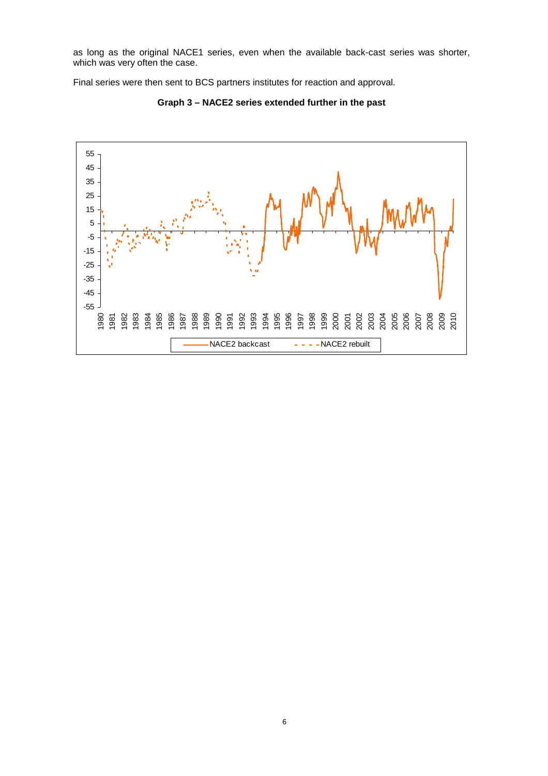as long as the original NACE1 series, even when the available back-cast series was shorter, which was very often the case.

Final series were then sent to BCS partners institutes for reaction and approval.



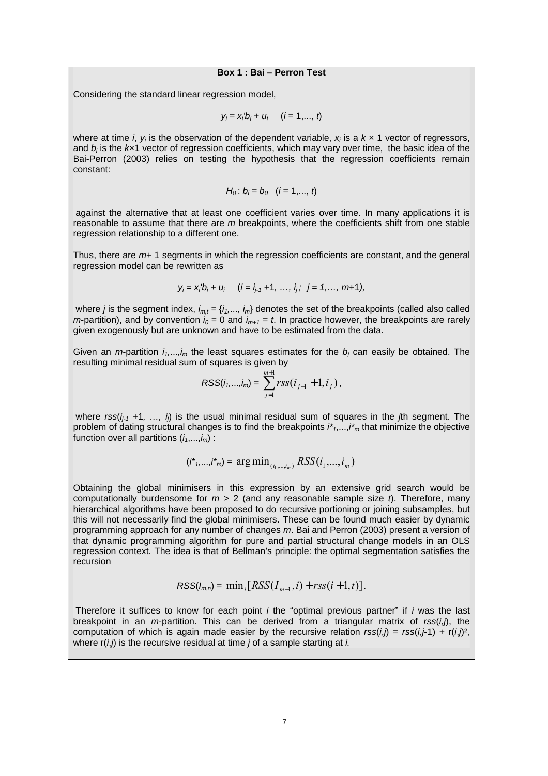#### **Box 1 : Bai – Perron Test**

Considering the standard linear regression model,

$$
y_i = x_i'b_i + u_i
$$
  $(i = 1, ..., t)$ 

where at time *i*,  $y_i$  is the observation of the dependent variable,  $x_i$  is a  $k \times 1$  vector of regressors, and  $b_i$  is the  $k\mathsf{x}$ 1 vector of regression coefficients, which may vary over time, the basic idea of the Bai-Perron (2003) relies on testing the hypothesis that the regression coefficients remain constant:

$$
H_0
$$
:  $b_i = b_0$  (*i* = 1,..., *t*)

 against the alternative that at least one coefficient varies over time. In many applications it is reasonable to assume that there are  $m$  breakpoints, where the coefficients shift from one stable regression relationship to a different one.

Thus, there are  $m+1$  segments in which the regression coefficients are constant, and the general regression model can be rewritten as

$$
y_i = x_i'b_i + u_i
$$
 (*i* = *i*<sub>j-1</sub> +1, ..., *i*<sub>j</sub>; *j* = 1, ..., m+1),

where *j* is the segment index,  $i_{m,t} = \{i_1,..., i_m\}$  denotes the set of the breakpoints (called also called *m*-partition), and by convention  $i_0 = 0$  and  $i_{m+1} = t$ . In practice however, the breakpoints are rarely given exogenously but are unknown and have to be estimated from the data.

Given an *m*-partition  $i_1,...,i_m$  the least squares estimates for the  $b_i$  can easily be obtained. The resulting minimal residual sum of squares is given by

$$
RSS(i_1,...,i_m) = \sum_{j=1}^{m+1} rss(i_{j-1} + 1, i_j),
$$

where  $rss(i_{i-1} +1, ..., i_i)$  is the usual minimal residual sum of squares in the *j*th segment. The problem of dating structural changes is to find the breakpoints  $i^*,...,i^*$  that minimize the objective function over all partitions  $(i_1,...,i_m)$ :

$$
(i^*_{1},...,i^*_{m}) = \arg\min_{(i_1,...,i_m)} RSS(i_1,...,i_m)
$$

Obtaining the global minimisers in this expression by an extensive grid search would be computationally burdensome for  $m > 2$  (and any reasonable sample size t). Therefore, many hierarchical algorithms have been proposed to do recursive portioning or joining subsamples, but this will not necessarily find the global minimisers. These can be found much easier by dynamic programming approach for any number of changes m. Bai and Perron (2003) present a version of that dynamic programming algorithm for pure and partial structural change models in an OLS regression context. The idea is that of Bellman's principle: the optimal segmentation satisfies the recursion

$$
RSS(I_{m,n}) = \min_i [RSS(I_{m-1}, i) + rss(i+1, t)].
$$

Therefore it suffices to know for each point  $i$  the "optimal previous partner" if  $i$  was the last breakpoint in an *m*-partition. This can be derived from a triangular matrix of  $rss(i,j)$ , the computation of which is again made easier by the recursive relation  $rss(i,j) = rss(i,j+1) + r(i,j^2)$ , where  $r(i, j)$  is the recursive residual at time *j* of a sample starting at *i*.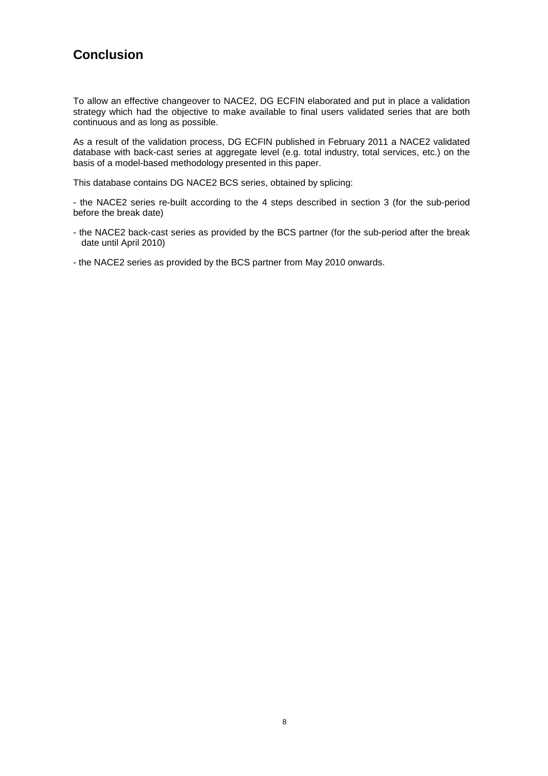# **Conclusion**

To allow an effective changeover to NACE2, DG ECFIN elaborated and put in place a validation strategy which had the objective to make available to final users validated series that are both continuous and as long as possible.

As a result of the validation process, DG ECFIN published in February 2011 a NACE2 validated database with back-cast series at aggregate level (e.g. total industry, total services, etc.) on the basis of a model-based methodology presented in this paper.

This database contains DG NACE2 BCS series, obtained by splicing:

- the NACE2 series re-built according to the 4 steps described in section 3 (for the sub-period before the break date)

- the NACE2 back-cast series as provided by the BCS partner (for the sub-period after the break date until April 2010)
- the NACE2 series as provided by the BCS partner from May 2010 onwards.